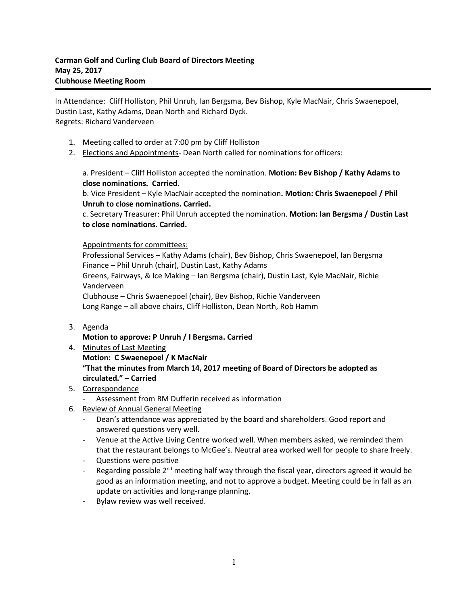In Attendance: Cliff Holliston, Phil Unruh, Ian Bergsma, Bev Bishop, Kyle MacNair, Chris Swaenepoel, Dustin Last, Kathy Adams, Dean North and Richard Dyck. Regrets: Richard Vanderveen

- 1. Meeting called to order at 7:00 pm by Cliff Holliston
- 2. Elections and Appointments- Dean North called for nominations for officers:

a. President – Cliff Holliston accepted the nomination. **Motion: Bev Bishop / Kathy Adams to close nominations. Carried.**

b. Vice President – Kyle MacNair accepted the nomination**. Motion: Chris Swaenepoel / Phil Unruh to close nominations. Carried.**

c. Secretary Treasurer: Phil Unruh accepted the nomination. **Motion: Ian Bergsma / Dustin Last to close nominations. Carried.**

## Appointments for committees:

Professional Services – Kathy Adams (chair), Bev Bishop, Chris Swaenepoel, Ian Bergsma Finance – Phil Unruh (chair), Dustin Last, Kathy Adams Greens, Fairways, & Ice Making – Ian Bergsma (chair), Dustin Last, Kyle MacNair, Richie Vanderveen Clubhouse – Chris Swaenepoel (chair), Bev Bishop, Richie Vanderveen

Long Range – all above chairs, Cliff Holliston, Dean North, Rob Hamm

## 3. Agenda

- **Motion to approve: P Unruh / I Bergsma. Carried**
- 4. Minutes of Last Meeting **Motion: C Swaenepoel / K MacNair "That the minutes from March 14, 2017 meeting of Board of Directors be adopted as circulated." – Carried**

## 5. Correspondence

- Assessment from RM Dufferin received as information
- 6. Review of Annual General Meeting
	- Dean's attendance was appreciated by the board and shareholders. Good report and answered questions very well.
	- Venue at the Active Living Centre worked well. When members asked, we reminded them that the restaurant belongs to McGee's. Neutral area worked well for people to share freely.
	- Questions were positive
	- Regarding possible 2<sup>nd</sup> meeting half way through the fiscal year, directors agreed it would be good as an information meeting, and not to approve a budget. Meeting could be in fall as an update on activities and long-range planning.
	- Bylaw review was well received.